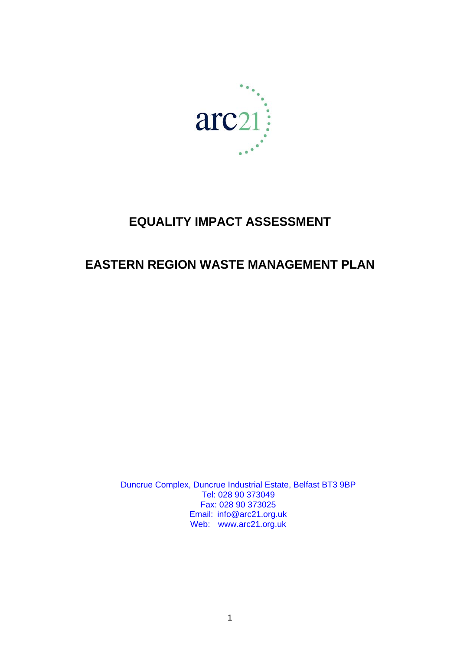

# **EQUALITY IMPACT ASSESSMENT**

# **EASTERN REGION WASTE MANAGEMENT PLAN**

Duncrue Complex, Duncrue Industrial Estate, Belfast BT3 9BP Tel: 028 90 373049 Fax: 028 90 373025 Email: info@arc21.org.uk Web: [www.arc21.org.uk](http://www.key-consulting-group.com/)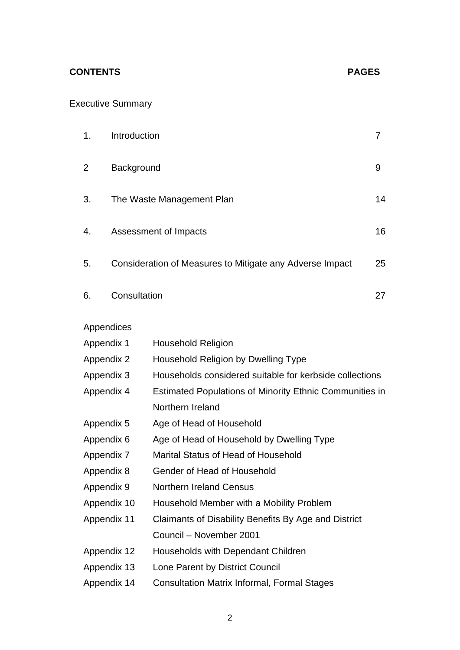## **CONTENTS PAGES**

## Executive Summary

| 1.                 | Introduction                                             |                                                         |    |  |
|--------------------|----------------------------------------------------------|---------------------------------------------------------|----|--|
| 2                  | Background                                               |                                                         |    |  |
| 3.                 | The Waste Management Plan                                |                                                         |    |  |
| 4.                 | Assessment of Impacts                                    |                                                         |    |  |
| 5.                 | Consideration of Measures to Mitigate any Adverse Impact |                                                         |    |  |
| Consultation<br>6. |                                                          |                                                         | 27 |  |
| Appendices         |                                                          |                                                         |    |  |
| Appendix 1         |                                                          | <b>Household Religion</b>                               |    |  |
| Appendix 2         |                                                          | Household Religion by Dwelling Type                     |    |  |
| Appendix 3         |                                                          | Households considered suitable for kerbside collections |    |  |
| Appendix 4         |                                                          | Estimated Populations of Minority Ethnic Communities in |    |  |
|                    |                                                          | Northern Ireland                                        |    |  |
| Appendix 5         |                                                          | Age of Head of Household                                |    |  |
| Appendix 6         |                                                          | Age of Head of Household by Dwelling Type               |    |  |
| Appendix 7         |                                                          | Marital Status of Head of Household                     |    |  |
| Appendix 8         |                                                          | Gender of Head of Household                             |    |  |
| Appendix 9         |                                                          | <b>Northern Ireland Census</b>                          |    |  |
| Appendix 10        |                                                          | Household Member with a Mobility Problem                |    |  |
| Appendix 11        |                                                          | Claimants of Disability Benefits By Age and District    |    |  |
|                    |                                                          | Council - November 2001                                 |    |  |
| Appendix 12        |                                                          | Households with Dependant Children                      |    |  |
| Appendix 13        |                                                          | Lone Parent by District Council                         |    |  |
| Appendix 14        |                                                          | <b>Consultation Matrix Informal, Formal Stages</b>      |    |  |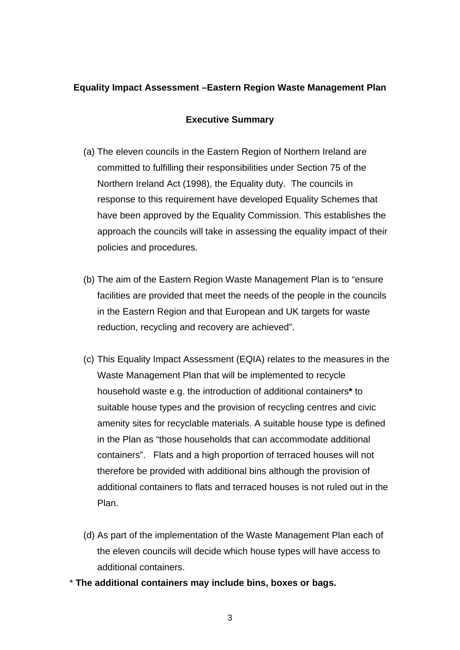## **Equality Impact Assessment –Eastern Region Waste Management Plan**

## **Executive Summary**

- (a) The eleven councils in the Eastern Region of Northern Ireland are committed to fulfilling their responsibilities under Section 75 of the Northern Ireland Act (1998), the Equality duty. The councils in response to this requirement have developed Equality Schemes that have been approved by the Equality Commission. This establishes the approach the councils will take in assessing the equality impact of their policies and procedures.
- (b) The aim of the Eastern Region Waste Management Plan is to "ensure facilities are provided that meet the needs of the people in the councils in the Eastern Region and that European and UK targets for waste reduction, recycling and recovery are achieved".
- (c) This Equality Impact Assessment (EQIA) relates to the measures in the Waste Management Plan that will be implemented to recycle household waste e.g. the introduction of additional containers**\*** to suitable house types and the provision of recycling centres and civic amenity sites for recyclable materials. A suitable house type is defined in the Plan as "those households that can accommodate additional containers". Flats and a high proportion of terraced houses will not therefore be provided with additional bins although the provision of additional containers to flats and terraced houses is not ruled out in the Plan.
- (d) As part of the implementation of the Waste Management Plan each of the eleven councils will decide which house types will have access to additional containers.
- \* **The additional containers may include bins, boxes or bags.**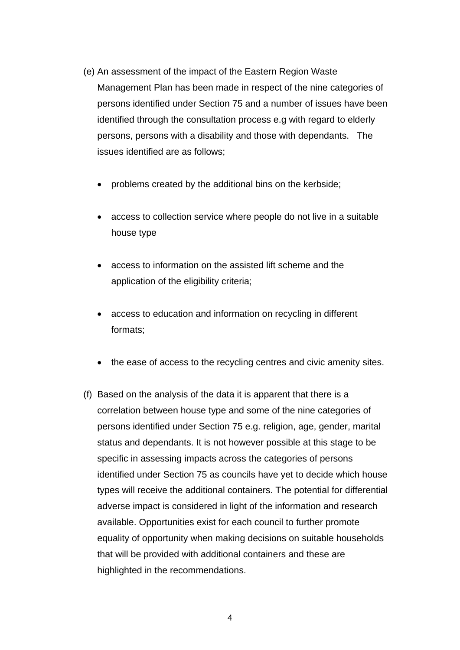- (e) An assessment of the impact of the Eastern Region Waste Management Plan has been made in respect of the nine categories of persons identified under Section 75 and a number of issues have been identified through the consultation process e.g with regard to elderly persons, persons with a disability and those with dependants. The issues identified are as follows;
	- problems created by the additional bins on the kerbside;
	- access to collection service where people do not live in a suitable house type
	- access to information on the assisted lift scheme and the application of the eligibility criteria;
	- access to education and information on recycling in different formats;
	- the ease of access to the recycling centres and civic amenity sites.
- (f) Based on the analysis of the data it is apparent that there is a correlation between house type and some of the nine categories of persons identified under Section 75 e.g. religion, age, gender, marital status and dependants. It is not however possible at this stage to be specific in assessing impacts across the categories of persons identified under Section 75 as councils have yet to decide which house types will receive the additional containers. The potential for differential adverse impact is considered in light of the information and research available. Opportunities exist for each council to further promote equality of opportunity when making decisions on suitable households that will be provided with additional containers and these are highlighted in the recommendations.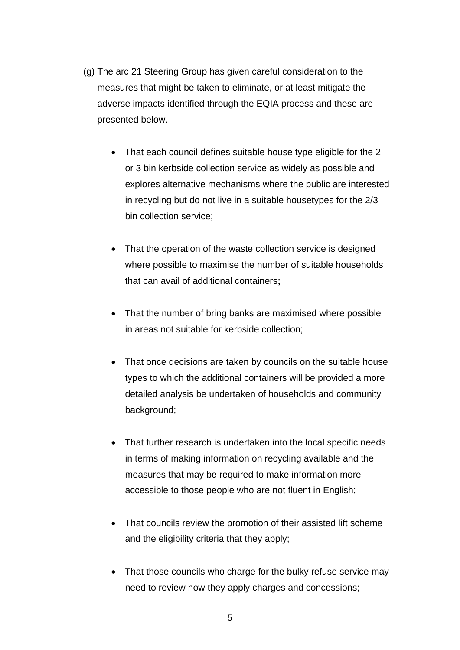- (g) The arc 21 Steering Group has given careful consideration to the measures that might be taken to eliminate, or at least mitigate the adverse impacts identified through the EQIA process and these are presented below.
	- That each council defines suitable house type eligible for the 2 or 3 bin kerbside collection service as widely as possible and explores alternative mechanisms where the public are interested in recycling but do not live in a suitable housetypes for the 2/3 bin collection service;
	- That the operation of the waste collection service is designed where possible to maximise the number of suitable households that can avail of additional containers**;**
	- That the number of bring banks are maximised where possible in areas not suitable for kerbside collection;
	- That once decisions are taken by councils on the suitable house types to which the additional containers will be provided a more detailed analysis be undertaken of households and community background;
	- That further research is undertaken into the local specific needs in terms of making information on recycling available and the measures that may be required to make information more accessible to those people who are not fluent in English;
	- That councils review the promotion of their assisted lift scheme and the eligibility criteria that they apply;
	- That those councils who charge for the bulky refuse service may need to review how they apply charges and concessions;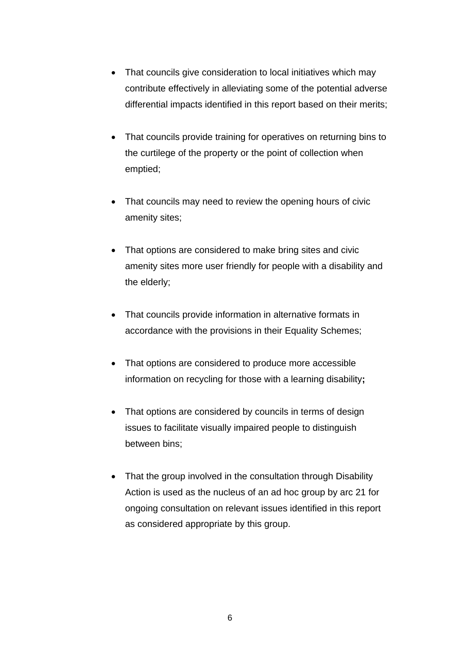- That councils give consideration to local initiatives which may contribute effectively in alleviating some of the potential adverse differential impacts identified in this report based on their merits;
- That councils provide training for operatives on returning bins to the curtilege of the property or the point of collection when emptied;
- That councils may need to review the opening hours of civic amenity sites;
- That options are considered to make bring sites and civic amenity sites more user friendly for people with a disability and the elderly;
- That councils provide information in alternative formats in accordance with the provisions in their Equality Schemes;
- That options are considered to produce more accessible information on recycling for those with a learning disability**;**
- That options are considered by councils in terms of design issues to facilitate visually impaired people to distinguish between bins;
- That the group involved in the consultation through Disability Action is used as the nucleus of an ad hoc group by arc 21 for ongoing consultation on relevant issues identified in this report as considered appropriate by this group.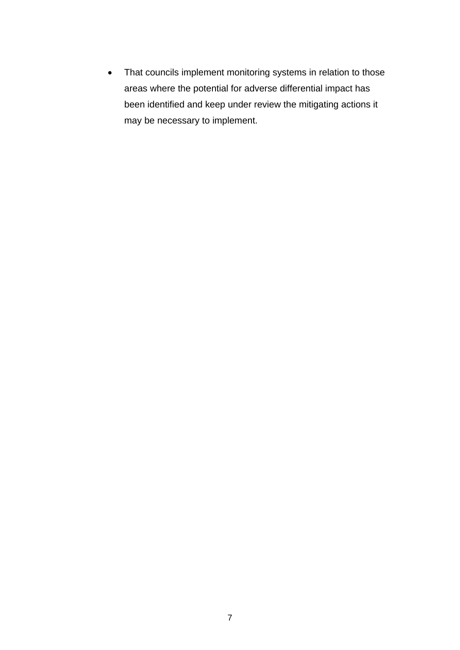• That councils implement monitoring systems in relation to those areas where the potential for adverse differential impact has been identified and keep under review the mitigating actions it may be necessary to implement.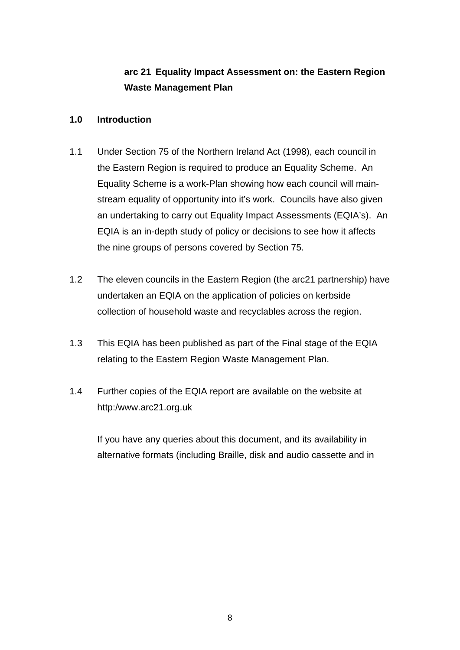## **arc 21 Equality Impact Assessment on: the Eastern Region Waste Management Plan**

## **1.0 Introduction**

- 1.1 Under Section 75 of the Northern Ireland Act (1998), each council in the Eastern Region is required to produce an Equality Scheme. An Equality Scheme is a work-Plan showing how each council will mainstream equality of opportunity into it's work. Councils have also given an undertaking to carry out Equality Impact Assessments (EQIA's). An EQIA is an in-depth study of policy or decisions to see how it affects the nine groups of persons covered by Section 75.
- 1.2 The eleven councils in the Eastern Region (the arc21 partnership) have undertaken an EQIA on the application of policies on kerbside collection of household waste and recyclables across the region.
- 1.3 This EQIA has been published as part of the Final stage of the EQIA relating to the Eastern Region Waste Management Plan.
- 1.4 Further copies of the EQIA report are available on the website at http:/www.arc21.org.uk

 If you have any queries about this document, and its availability in alternative formats (including Braille, disk and audio cassette and in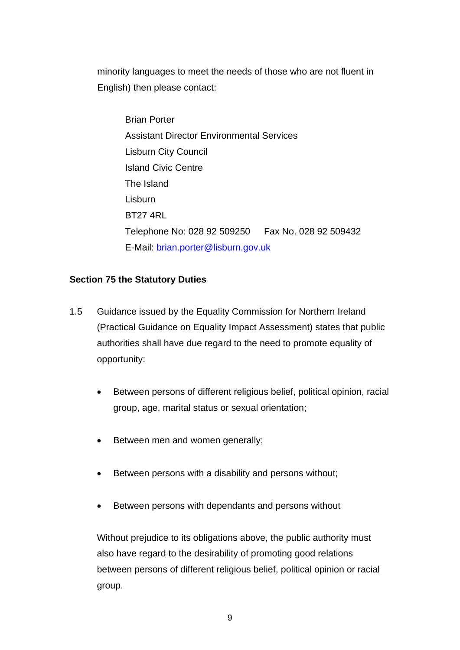minority languages to meet the needs of those who are not fluent in English) then please contact:

 Brian Porter Assistant Director Environmental Services Lisburn City Council Island Civic Centre The Island Lisburn BT27 4RL Telephone No: 028 92 509250 Fax No. 028 92 509432 E-Mail: [brian.porter@lisburn.gov.uk](mailto:brian.porter@lisburn.gov.uk)

## **Section 75 the Statutory Duties**

- 1.5 Guidance issued by the Equality Commission for Northern Ireland (Practical Guidance on Equality Impact Assessment) states that public authorities shall have due regard to the need to promote equality of opportunity:
	- Between persons of different religious belief, political opinion, racial group, age, marital status or sexual orientation;
	- Between men and women generally;
	- Between persons with a disability and persons without;
	- Between persons with dependants and persons without

Without prejudice to its obligations above, the public authority must also have regard to the desirability of promoting good relations between persons of different religious belief, political opinion or racial group.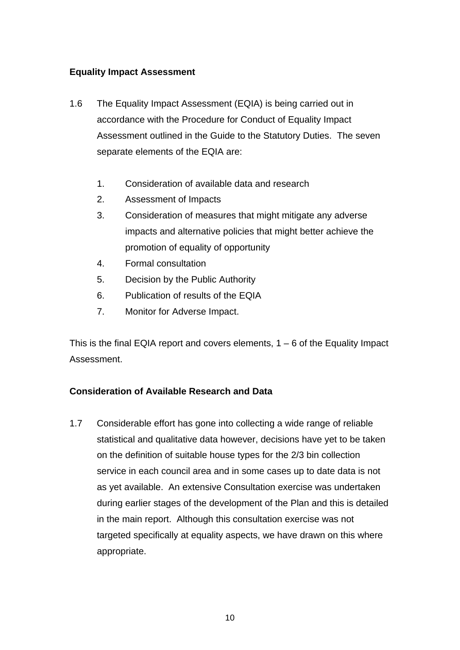## **Equality Impact Assessment**

- 1.6 The Equality Impact Assessment (EQIA) is being carried out in accordance with the Procedure for Conduct of Equality Impact Assessment outlined in the Guide to the Statutory Duties. The seven separate elements of the EQIA are:
	- 1. Consideration of available data and research
	- 2. Assessment of Impacts
	- 3. Consideration of measures that might mitigate any adverse impacts and alternative policies that might better achieve the promotion of equality of opportunity
	- 4. Formal consultation
	- 5. Decision by the Public Authority
	- 6. Publication of results of the EQIA
	- 7. Monitor for Adverse Impact.

This is the final EQIA report and covers elements,  $1 - 6$  of the Equality Impact Assessment.

## **Consideration of Available Research and Data**

1.7 Considerable effort has gone into collecting a wide range of reliable statistical and qualitative data however, decisions have yet to be taken on the definition of suitable house types for the 2/3 bin collection service in each council area and in some cases up to date data is not as yet available. An extensive Consultation exercise was undertaken during earlier stages of the development of the Plan and this is detailed in the main report. Although this consultation exercise was not targeted specifically at equality aspects, we have drawn on this where appropriate.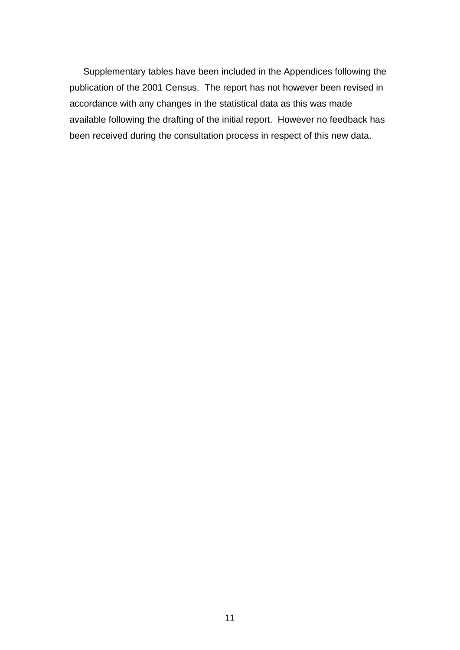Supplementary tables have been included in the Appendices following the publication of the 2001 Census. The report has not however been revised in accordance with any changes in the statistical data as this was made available following the drafting of the initial report. However no feedback has been received during the consultation process in respect of this new data.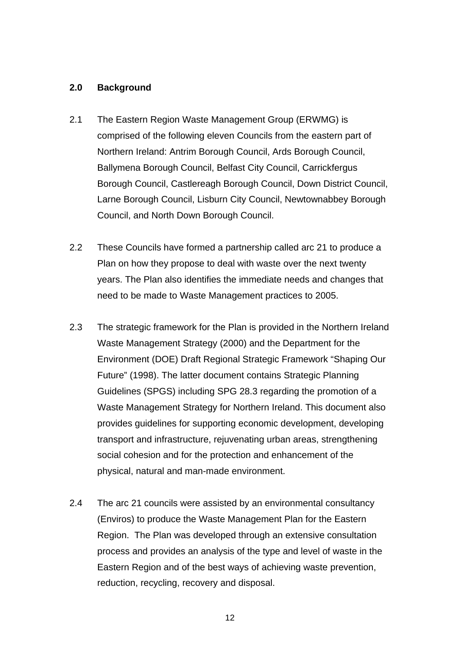#### **2.0 Background**

- 2.1 The Eastern Region Waste Management Group (ERWMG) is comprised of the following eleven Councils from the eastern part of Northern Ireland: Antrim Borough Council, Ards Borough Council, Ballymena Borough Council, Belfast City Council, Carrickfergus Borough Council, Castlereagh Borough Council, Down District Council, Larne Borough Council, Lisburn City Council, Newtownabbey Borough Council, and North Down Borough Council.
- 2.2 These Councils have formed a partnership called arc 21 to produce a Plan on how they propose to deal with waste over the next twenty years. The Plan also identifies the immediate needs and changes that need to be made to Waste Management practices to 2005.
- 2.3 The strategic framework for the Plan is provided in the Northern Ireland Waste Management Strategy (2000) and the Department for the Environment (DOE) Draft Regional Strategic Framework "Shaping Our Future" (1998). The latter document contains Strategic Planning Guidelines (SPGS) including SPG 28.3 regarding the promotion of a Waste Management Strategy for Northern Ireland. This document also provides guidelines for supporting economic development, developing transport and infrastructure, rejuvenating urban areas, strengthening social cohesion and for the protection and enhancement of the physical, natural and man-made environment.
- 2.4 The arc 21 councils were assisted by an environmental consultancy (Enviros) to produce the Waste Management Plan for the Eastern Region. The Plan was developed through an extensive consultation process and provides an analysis of the type and level of waste in the Eastern Region and of the best ways of achieving waste prevention, reduction, recycling, recovery and disposal.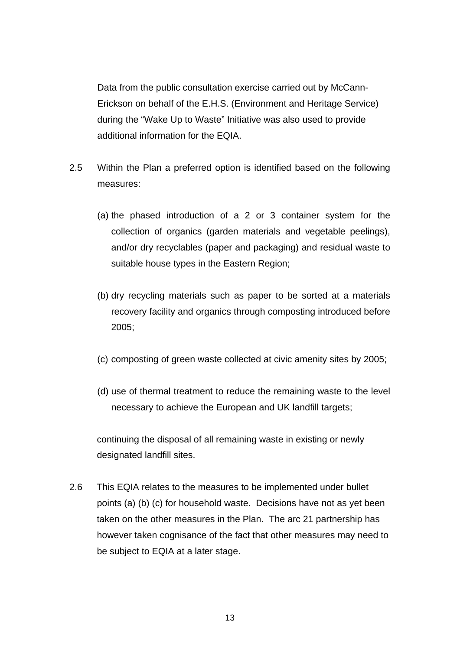Data from the public consultation exercise carried out by McCann-Erickson on behalf of the E.H.S. (Environment and Heritage Service) during the "Wake Up to Waste" Initiative was also used to provide additional information for the EQIA.

- 2.5 Within the Plan a preferred option is identified based on the following measures:
	- (a) the phased introduction of a 2 or 3 container system for the collection of organics (garden materials and vegetable peelings), and/or dry recyclables (paper and packaging) and residual waste to suitable house types in the Eastern Region;
	- (b) dry recycling materials such as paper to be sorted at a materials recovery facility and organics through composting introduced before 2005;
	- (c) composting of green waste collected at civic amenity sites by 2005;
	- (d) use of thermal treatment to reduce the remaining waste to the level necessary to achieve the European and UK landfill targets;

continuing the disposal of all remaining waste in existing or newly designated landfill sites.

2.6 This EQIA relates to the measures to be implemented under bullet points (a) (b) (c) for household waste. Decisions have not as yet been taken on the other measures in the Plan. The arc 21 partnership has however taken cognisance of the fact that other measures may need to be subject to EQIA at a later stage.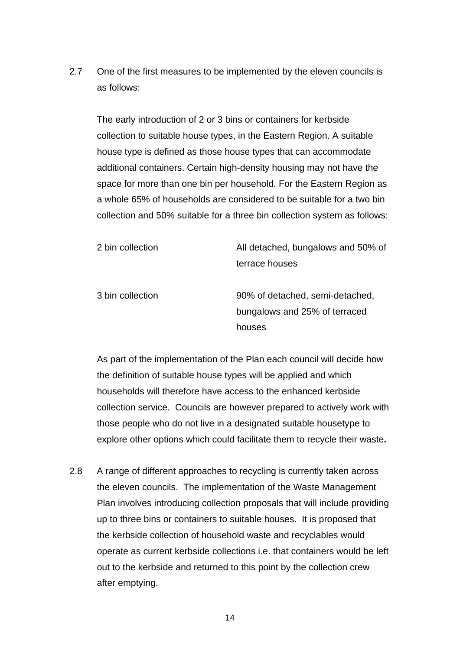2.7 One of the first measures to be implemented by the eleven councils is as follows:

The early introduction of 2 or 3 bins or containers for kerbside collection to suitable house types, in the Eastern Region. A suitable house type is defined as those house types that can accommodate additional containers. Certain high-density housing may not have the space for more than one bin per household. For the Eastern Region as a whole 65% of households are considered to be suitable for a two bin collection and 50% suitable for a three bin collection system as follows:

| 2 bin collection | All detached, bungalows and 50% of                                         |
|------------------|----------------------------------------------------------------------------|
|                  | terrace houses                                                             |
| 3 bin collection | 90% of detached, semi-detached,<br>bungalows and 25% of terraced<br>houses |
|                  |                                                                            |

As part of the implementation of the Plan each council will decide how the definition of suitable house types will be applied and which households will therefore have access to the enhanced kerbside collection service. Councils are however prepared to actively work with those people who do not live in a designated suitable housetype to explore other options which could facilitate them to recycle their waste**.** 

2.8 A range of different approaches to recycling is currently taken across the eleven councils. The implementation of the Waste Management Plan involves introducing collection proposals that will include providing up to three bins or containers to suitable houses. It is proposed that the kerbside collection of household waste and recyclables would operate as current kerbside collections i.e. that containers would be left out to the kerbside and returned to this point by the collection crew after emptying.

 $14$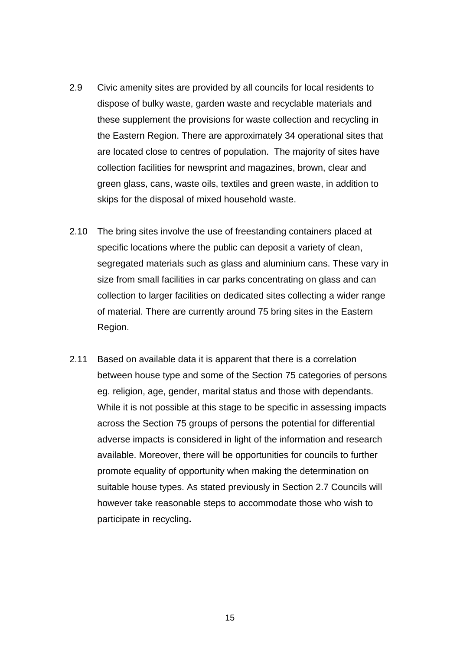- 2.9 Civic amenity sites are provided by all councils for local residents to dispose of bulky waste, garden waste and recyclable materials and these supplement the provisions for waste collection and recycling in the Eastern Region. There are approximately 34 operational sites that are located close to centres of population. The majority of sites have collection facilities for newsprint and magazines, brown, clear and green glass, cans, waste oils, textiles and green waste, in addition to skips for the disposal of mixed household waste.
- 2.10 The bring sites involve the use of freestanding containers placed at specific locations where the public can deposit a variety of clean, segregated materials such as glass and aluminium cans. These vary in size from small facilities in car parks concentrating on glass and can collection to larger facilities on dedicated sites collecting a wider range of material. There are currently around 75 bring sites in the Eastern Region.
- 2.11 Based on available data it is apparent that there is a correlation between house type and some of the Section 75 categories of persons eg. religion, age, gender, marital status and those with dependants. While it is not possible at this stage to be specific in assessing impacts across the Section 75 groups of persons the potential for differential adverse impacts is considered in light of the information and research available. Moreover, there will be opportunities for councils to further promote equality of opportunity when making the determination on suitable house types. As stated previously in Section 2.7 Councils will however take reasonable steps to accommodate those who wish to participate in recycling**.**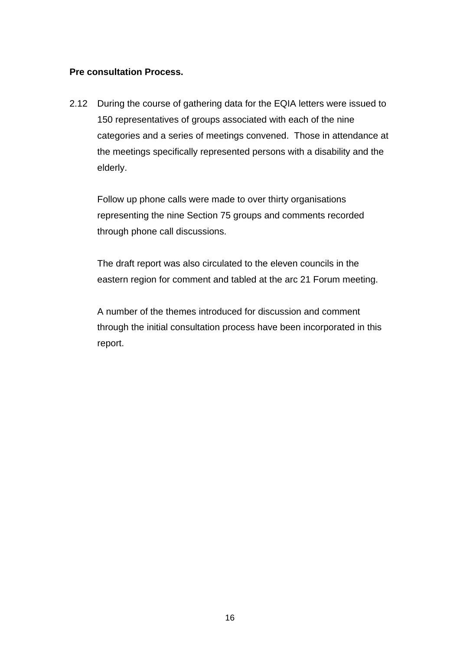#### **Pre consultation Process.**

2.12 During the course of gathering data for the EQIA letters were issued to 150 representatives of groups associated with each of the nine categories and a series of meetings convened. Those in attendance at the meetings specifically represented persons with a disability and the elderly.

 Follow up phone calls were made to over thirty organisations representing the nine Section 75 groups and comments recorded through phone call discussions.

 The draft report was also circulated to the eleven councils in the eastern region for comment and tabled at the arc 21 Forum meeting.

 A number of the themes introduced for discussion and comment through the initial consultation process have been incorporated in this report.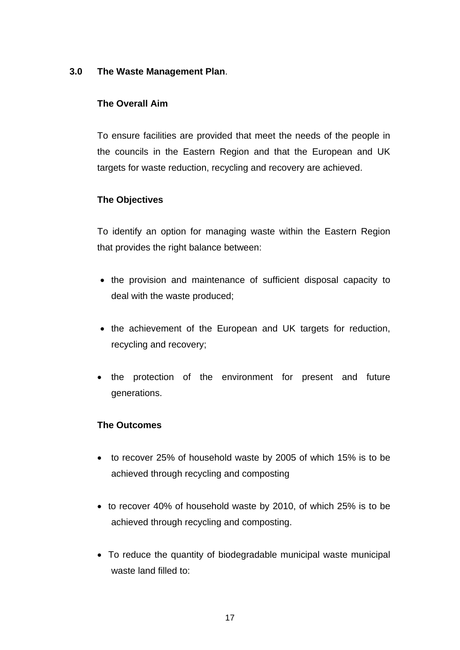## **3.0 The Waste Management Plan**.

## **The Overall Aim**

To ensure facilities are provided that meet the needs of the people in the councils in the Eastern Region and that the European and UK targets for waste reduction, recycling and recovery are achieved.

## **The Objectives**

To identify an option for managing waste within the Eastern Region that provides the right balance between:

- the provision and maintenance of sufficient disposal capacity to deal with the waste produced;
- the achievement of the European and UK targets for reduction, recycling and recovery;
- the protection of the environment for present and future generations.

## **The Outcomes**

- to recover 25% of household waste by 2005 of which 15% is to be achieved through recycling and composting
- to recover 40% of household waste by 2010, of which 25% is to be achieved through recycling and composting.
- To reduce the quantity of biodegradable municipal waste municipal waste land filled to: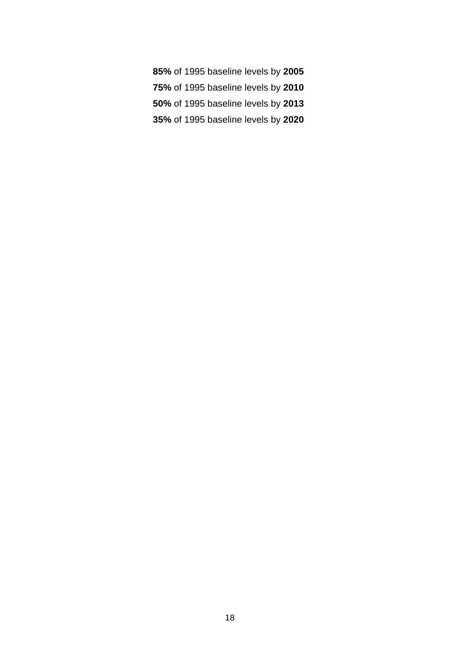- **85%** of 1995 baseline levels by **2005**
- **75%** of 1995 baseline levels by **2010**
- **50%** of 1995 baseline levels by **2013**
- **35%** of 1995 baseline levels by **2020**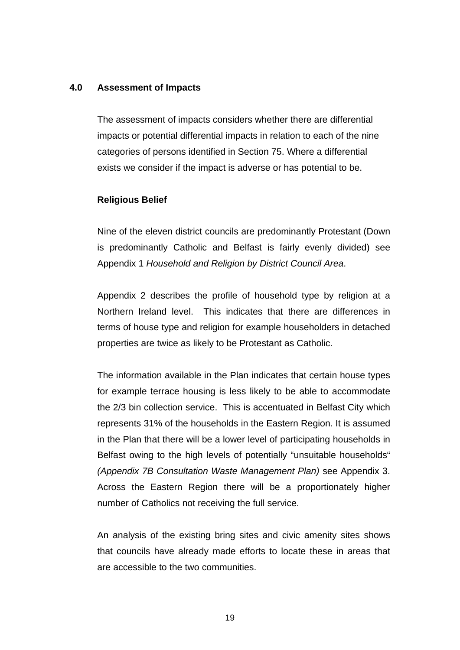#### **4.0 Assessment of Impacts**

The assessment of impacts considers whether there are differential impacts or potential differential impacts in relation to each of the nine categories of persons identified in Section 75. Where a differential exists we consider if the impact is adverse or has potential to be.

#### **Religious Belief**

Nine of the eleven district councils are predominantly Protestant (Down is predominantly Catholic and Belfast is fairly evenly divided) see Appendix 1 *Household and Religion by District Council Area*.

Appendix 2 describes the profile of household type by religion at a Northern Ireland level. This indicates that there are differences in terms of house type and religion for example householders in detached properties are twice as likely to be Protestant as Catholic.

The information available in the Plan indicates that certain house types for example terrace housing is less likely to be able to accommodate the 2/3 bin collection service. This is accentuated in Belfast City which represents 31% of the households in the Eastern Region. It is assumed in the Plan that there will be a lower level of participating households in Belfast owing to the high levels of potentially "unsuitable households" *(Appendix 7B Consultation Waste Management Plan)* see Appendix 3. Across the Eastern Region there will be a proportionately higher number of Catholics not receiving the full service.

An analysis of the existing bring sites and civic amenity sites shows that councils have already made efforts to locate these in areas that are accessible to the two communities.

the contract of the contract of the contract of the contract of the contract of the contract of the contract o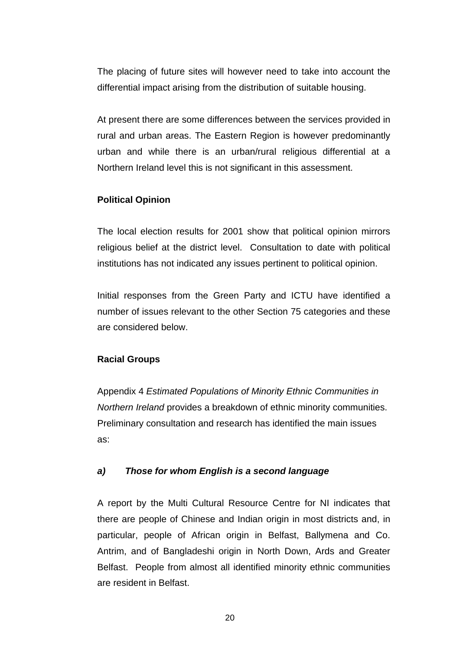The placing of future sites will however need to take into account the differential impact arising from the distribution of suitable housing.

At present there are some differences between the services provided in rural and urban areas. The Eastern Region is however predominantly urban and while there is an urban/rural religious differential at a Northern Ireland level this is not significant in this assessment.

## **Political Opinion**

The local election results for 2001 show that political opinion mirrors religious belief at the district level. Consultation to date with political institutions has not indicated any issues pertinent to political opinion.

Initial responses from the Green Party and ICTU have identified a number of issues relevant to the other Section 75 categories and these are considered below.

#### **Racial Groups**

Appendix 4 *Estimated Populations of Minority Ethnic Communities in Northern Ireland* provides a breakdown of ethnic minority communities. Preliminary consultation and research has identified the main issues as:

#### *a) Those for whom English is a second language*

A report by the Multi Cultural Resource Centre for NI indicates that there are people of Chinese and Indian origin in most districts and, in particular, people of African origin in Belfast, Ballymena and Co. Antrim, and of Bangladeshi origin in North Down, Ards and Greater Belfast. People from almost all identified minority ethnic communities are resident in Belfast.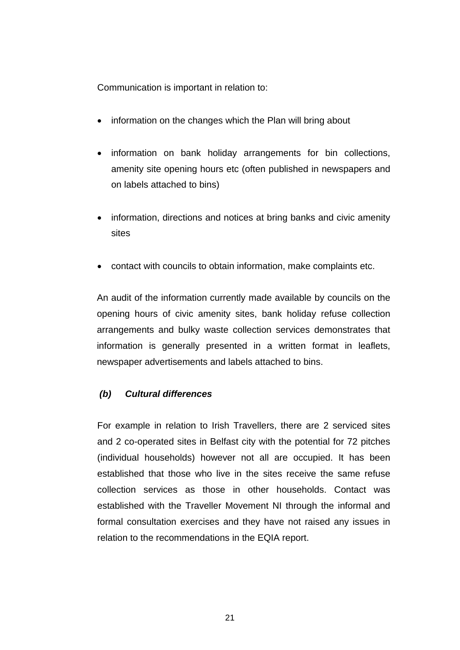Communication is important in relation to:

- information on the changes which the Plan will bring about
- information on bank holiday arrangements for bin collections, amenity site opening hours etc (often published in newspapers and on labels attached to bins)
- information, directions and notices at bring banks and civic amenity sites
- contact with councils to obtain information, make complaints etc.

An audit of the information currently made available by councils on the opening hours of civic amenity sites, bank holiday refuse collection arrangements and bulky waste collection services demonstrates that information is generally presented in a written format in leaflets, newspaper advertisements and labels attached to bins.

## *(b) Cultural differences*

For example in relation to Irish Travellers, there are 2 serviced sites and 2 co-operated sites in Belfast city with the potential for 72 pitches (individual households) however not all are occupied. It has been established that those who live in the sites receive the same refuse collection services as those in other households. Contact was established with the Traveller Movement NI through the informal and formal consultation exercises and they have not raised any issues in relation to the recommendations in the EQIA report.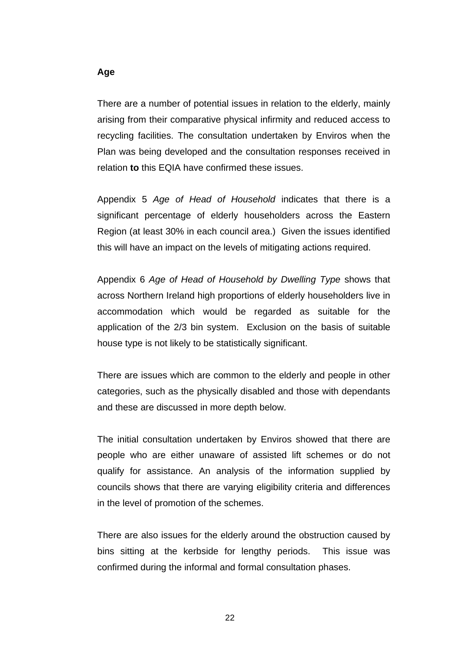There are a number of potential issues in relation to the elderly, mainly arising from their comparative physical infirmity and reduced access to recycling facilities. The consultation undertaken by Enviros when the Plan was being developed and the consultation responses received in relation **to** this EQIA have confirmed these issues.

Appendix 5 *Age of Head of Household* indicates that there is a significant percentage of elderly householders across the Eastern Region (at least 30% in each council area.) Given the issues identified this will have an impact on the levels of mitigating actions required.

Appendix 6 *Age of Head of Household by Dwelling Type* shows that across Northern Ireland high proportions of elderly householders live in accommodation which would be regarded as suitable for the application of the 2/3 bin system. Exclusion on the basis of suitable house type is not likely to be statistically significant.

There are issues which are common to the elderly and people in other categories, such as the physically disabled and those with dependants and these are discussed in more depth below.

The initial consultation undertaken by Enviros showed that there are people who are either unaware of assisted lift schemes or do not qualify for assistance. An analysis of the information supplied by councils shows that there are varying eligibility criteria and differences in the level of promotion of the schemes.

There are also issues for the elderly around the obstruction caused by bins sitting at the kerbside for lengthy periods. This issue was confirmed during the informal and formal consultation phases.

#### **Age**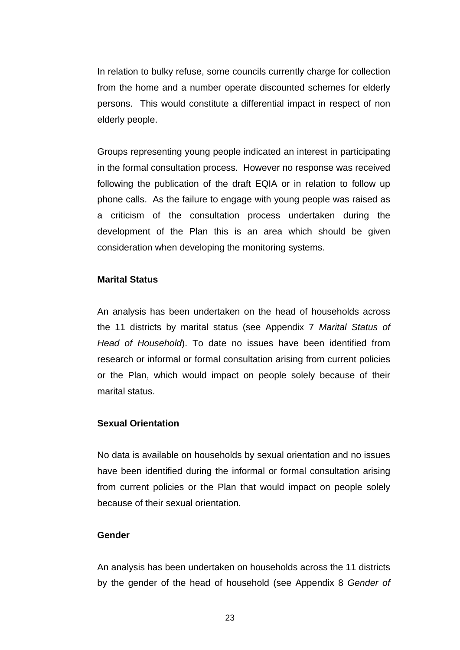In relation to bulky refuse, some councils currently charge for collection from the home and a number operate discounted schemes for elderly persons. This would constitute a differential impact in respect of non elderly people.

Groups representing young people indicated an interest in participating in the formal consultation process. However no response was received following the publication of the draft EQIA or in relation to follow up phone calls. As the failure to engage with young people was raised as a criticism of the consultation process undertaken during the development of the Plan this is an area which should be given consideration when developing the monitoring systems.

#### **Marital Status**

An analysis has been undertaken on the head of households across the 11 districts by marital status (see Appendix 7 *Marital Status of Head of Household*). To date no issues have been identified from research or informal or formal consultation arising from current policies or the Plan, which would impact on people solely because of their marital status.

#### **Sexual Orientation**

No data is available on households by sexual orientation and no issues have been identified during the informal or formal consultation arising from current policies or the Plan that would impact on people solely because of their sexual orientation.

#### **Gender**

An analysis has been undertaken on households across the 11 districts by the gender of the head of household (see Appendix 8 *Gender of*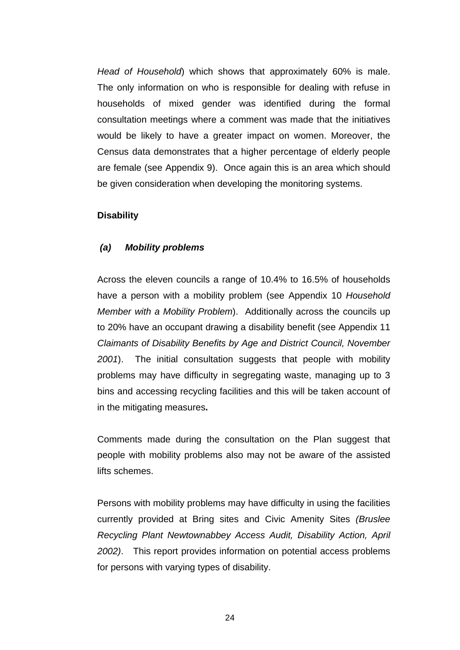*Head of Household*) which shows that approximately 60% is male. The only information on who is responsible for dealing with refuse in households of mixed gender was identified during the formal consultation meetings where a comment was made that the initiatives would be likely to have a greater impact on women. Moreover, the Census data demonstrates that a higher percentage of elderly people are female (see Appendix 9). Once again this is an area which should be given consideration when developing the monitoring systems.

#### **Disability**

#### *(a) Mobility problems*

Across the eleven councils a range of 10.4% to 16.5% of households have a person with a mobility problem (see Appendix 10 *Household Member with a Mobility Problem*). Additionally across the councils up to 20% have an occupant drawing a disability benefit (see Appendix 11 *Claimants of Disability Benefits by Age and District Council, November 2001*). The initial consultation suggests that people with mobility problems may have difficulty in segregating waste, managing up to 3 bins and accessing recycling facilities and this will be taken account of in the mitigating measures**.** 

Comments made during the consultation on the Plan suggest that people with mobility problems also may not be aware of the assisted lifts schemes.

Persons with mobility problems may have difficulty in using the facilities currently provided at Bring sites and Civic Amenity Sites *(Bruslee Recycling Plant Newtownabbey Access Audit, Disability Action, April 2002)*. This report provides information on potential access problems for persons with varying types of disability.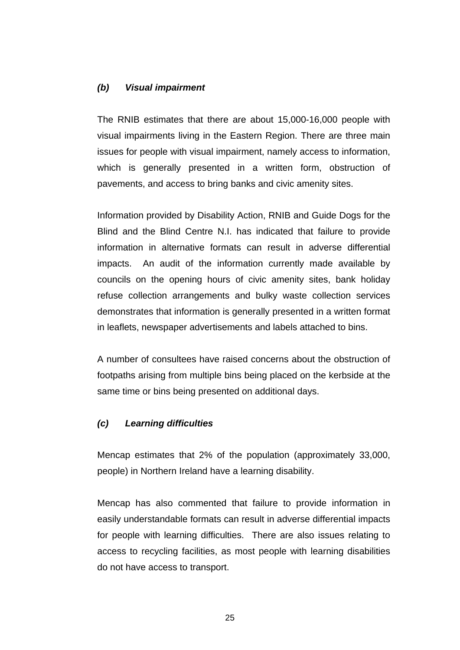#### *(b) Visual impairment*

The RNIB estimates that there are about 15,000-16,000 people with visual impairments living in the Eastern Region. There are three main issues for people with visual impairment, namely access to information, which is generally presented in a written form, obstruction of pavements, and access to bring banks and civic amenity sites.

Information provided by Disability Action, RNIB and Guide Dogs for the Blind and the Blind Centre N.I. has indicated that failure to provide information in alternative formats can result in adverse differential impacts. An audit of the information currently made available by councils on the opening hours of civic amenity sites, bank holiday refuse collection arrangements and bulky waste collection services demonstrates that information is generally presented in a written format in leaflets, newspaper advertisements and labels attached to bins.

A number of consultees have raised concerns about the obstruction of footpaths arising from multiple bins being placed on the kerbside at the same time or bins being presented on additional days.

#### *(c) Learning difficulties*

Mencap estimates that 2% of the population (approximately 33,000, people) in Northern Ireland have a learning disability.

Mencap has also commented that failure to provide information in easily understandable formats can result in adverse differential impacts for people with learning difficulties. There are also issues relating to access to recycling facilities, as most people with learning disabilities do not have access to transport.

<u>25 and 25 and 26 and 26 and 26 and 26 and 26 and 26 and 26 and 26 and 26 and 26 and 26 and 26 and 26 and 26 and 26 and 26 and 26 and 26 and 26 and 26 and 26 and 26 and 26 and 27 and 27 and 27 and 27 and 27 and 27 and 27 a</u>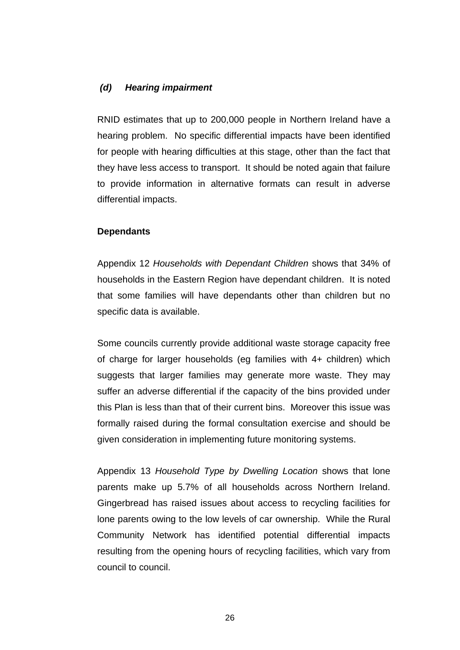#### *(d) Hearing impairment*

RNID estimates that up to 200,000 people in Northern Ireland have a hearing problem. No specific differential impacts have been identified for people with hearing difficulties at this stage, other than the fact that they have less access to transport. It should be noted again that failure to provide information in alternative formats can result in adverse differential impacts.

#### **Dependants**

Appendix 12 *Households with Dependant Children* shows that 34% of households in the Eastern Region have dependant children. It is noted that some families will have dependants other than children but no specific data is available.

Some councils currently provide additional waste storage capacity free of charge for larger households (eg families with 4+ children) which suggests that larger families may generate more waste. They may suffer an adverse differential if the capacity of the bins provided under this Plan is less than that of their current bins. Moreover this issue was formally raised during the formal consultation exercise and should be given consideration in implementing future monitoring systems.

Appendix 13 *Household Type by Dwelling Location* shows that lone parents make up 5.7% of all households across Northern Ireland. Gingerbread has raised issues about access to recycling facilities for lone parents owing to the low levels of car ownership. While the Rural Community Network has identified potential differential impacts resulting from the opening hours of recycling facilities, which vary from council to council.

 $26$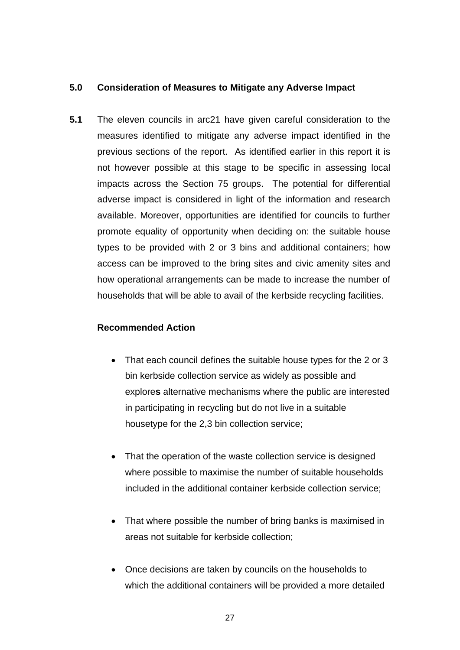## **5.0 Consideration of Measures to Mitigate any Adverse Impact**

**5.1** The eleven councils in arc21 have given careful consideration to the measures identified to mitigate any adverse impact identified in the previous sections of the report. As identified earlier in this report it is not however possible at this stage to be specific in assessing local impacts across the Section 75 groups. The potential for differential adverse impact is considered in light of the information and research available. Moreover, opportunities are identified for councils to further promote equality of opportunity when deciding on: the suitable house types to be provided with 2 or 3 bins and additional containers; how access can be improved to the bring sites and civic amenity sites and how operational arrangements can be made to increase the number of households that will be able to avail of the kerbside recycling facilities.

## **Recommended Action**

- That each council defines the suitable house types for the 2 or 3 bin kerbside collection service as widely as possible and explore**s** alternative mechanisms where the public are interested in participating in recycling but do not live in a suitable housetype for the 2,3 bin collection service;
- That the operation of the waste collection service is designed where possible to maximise the number of suitable households included in the additional container kerbside collection service;
- That where possible the number of bring banks is maximised in areas not suitable for kerbside collection;
- Once decisions are taken by councils on the households to which the additional containers will be provided a more detailed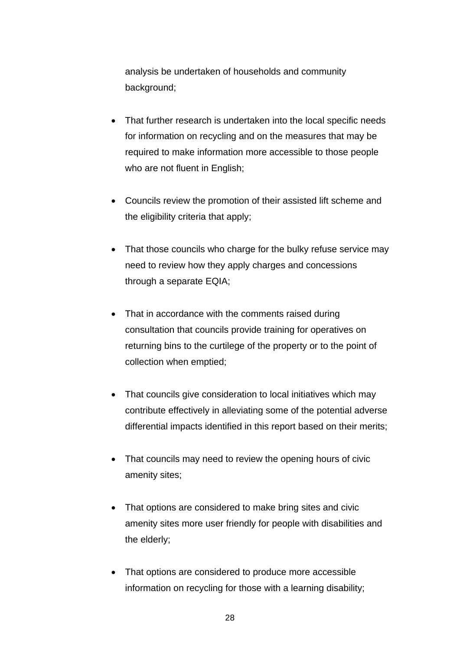analysis be undertaken of households and community background;

- That further research is undertaken into the local specific needs for information on recycling and on the measures that may be required to make information more accessible to those people who are not fluent in English;
- Councils review the promotion of their assisted lift scheme and the eligibility criteria that apply;
- That those councils who charge for the bulky refuse service may need to review how they apply charges and concessions through a separate EQIA;
- That in accordance with the comments raised during consultation that councils provide training for operatives on returning bins to the curtilege of the property or to the point of collection when emptied;
- That councils give consideration to local initiatives which may contribute effectively in alleviating some of the potential adverse differential impacts identified in this report based on their merits;
- That councils may need to review the opening hours of civic amenity sites;
- That options are considered to make bring sites and civic amenity sites more user friendly for people with disabilities and the elderly;
- That options are considered to produce more accessible information on recycling for those with a learning disability;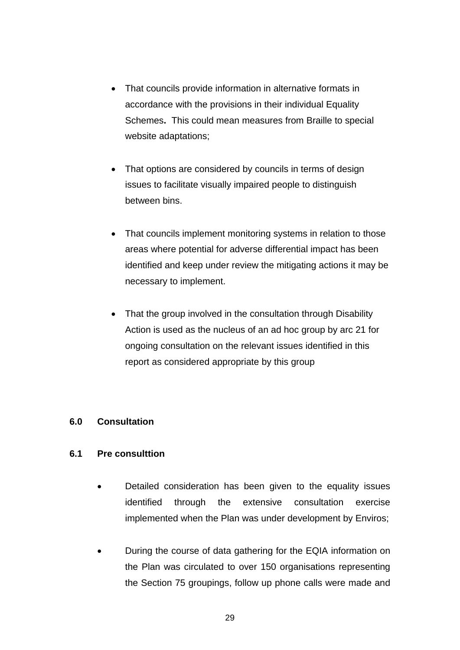- That councils provide information in alternative formats in accordance with the provisions in their individual Equality Schemes**.** This could mean measures from Braille to special website adaptations;
- That options are considered by councils in terms of design issues to facilitate visually impaired people to distinguish between bins.
- That councils implement monitoring systems in relation to those areas where potential for adverse differential impact has been identified and keep under review the mitigating actions it may be necessary to implement.
- That the group involved in the consultation through Disability Action is used as the nucleus of an ad hoc group by arc 21 for ongoing consultation on the relevant issues identified in this report as considered appropriate by this group

## **6.0 Consultation**

## **6.1 Pre consulttion**

- Detailed consideration has been given to the equality issues identified through the extensive consultation exercise implemented when the Plan was under development by Enviros;
- During the course of data gathering for the EQIA information on the Plan was circulated to over 150 organisations representing the Section 75 groupings, follow up phone calls were made and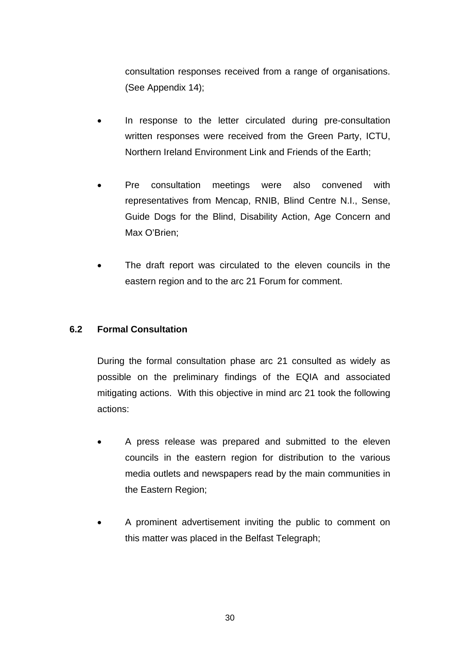consultation responses received from a range of organisations. (See Appendix 14);

- In response to the letter circulated during pre-consultation written responses were received from the Green Party, ICTU, Northern Ireland Environment Link and Friends of the Earth;
- Pre consultation meetings were also convened with representatives from Mencap, RNIB, Blind Centre N.I., Sense, Guide Dogs for the Blind, Disability Action, Age Concern and Max O'Brien;
- The draft report was circulated to the eleven councils in the eastern region and to the arc 21 Forum for comment.

## **6.2 Formal Consultation**

During the formal consultation phase arc 21 consulted as widely as possible on the preliminary findings of the EQIA and associated mitigating actions. With this objective in mind arc 21 took the following actions:

- A press release was prepared and submitted to the eleven councils in the eastern region for distribution to the various media outlets and newspapers read by the main communities in the Eastern Region;
- A prominent advertisement inviting the public to comment on this matter was placed in the Belfast Telegraph;